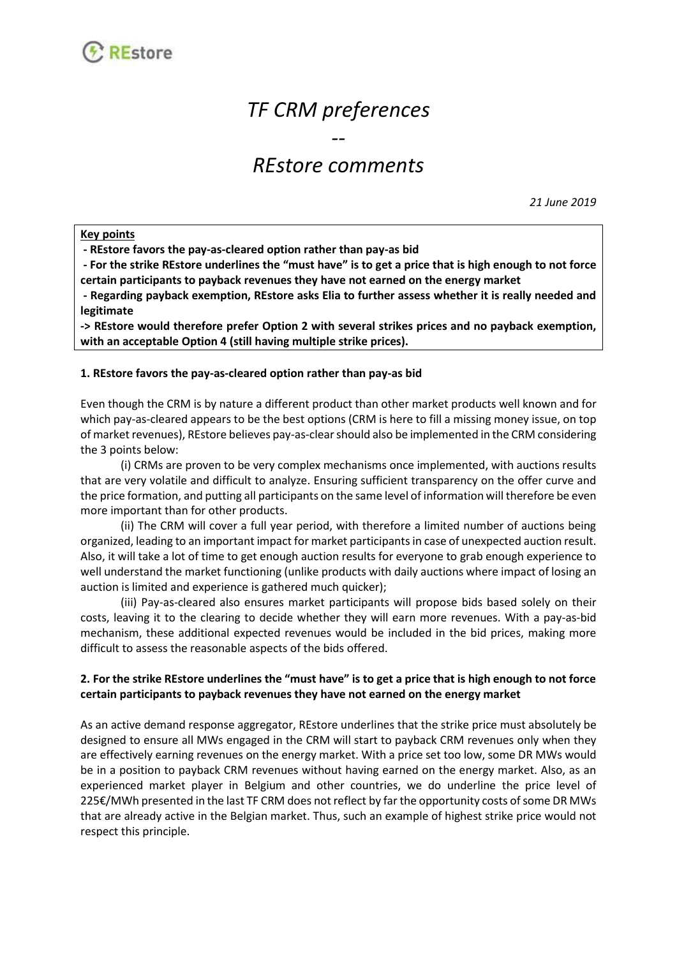

# *TF CRM preferences*

# *REstore comments*

*--*

*21 June 2019*

#### **Key points**

**- REstore favors the pay-as-cleared option rather than pay-as bid**

**- For the strike REstore underlines the "must have" is to get a price that is high enough to not force certain participants to payback revenues they have not earned on the energy market**

**- Regarding payback exemption, REstore asks Elia to further assess whether it is really needed and legitimate**

**-> REstore would therefore prefer Option 2 with several strikes prices and no payback exemption, with an acceptable Option 4 (still having multiple strike prices).**

#### **1. REstore favors the pay-as-cleared option rather than pay-as bid**

Even though the CRM is by nature a different product than other market products well known and for which pay-as-cleared appears to be the best options (CRM is here to fill a missing money issue, on top of market revenues), REstore believes pay-as-clear should also be implemented in the CRM considering the 3 points below:

(i) CRMs are proven to be very complex mechanisms once implemented, with auctions results that are very volatile and difficult to analyze. Ensuring sufficient transparency on the offer curve and the price formation, and putting all participants on the same level of information will therefore be even more important than for other products.

(ii) The CRM will cover a full year period, with therefore a limited number of auctions being organized, leading to an important impact for market participantsin case of unexpected auction result. Also, it will take a lot of time to get enough auction results for everyone to grab enough experience to well understand the market functioning (unlike products with daily auctions where impact of losing an auction is limited and experience is gathered much quicker);

(iii) Pay-as-cleared also ensures market participants will propose bids based solely on their costs, leaving it to the clearing to decide whether they will earn more revenues. With a pay-as-bid mechanism, these additional expected revenues would be included in the bid prices, making more difficult to assess the reasonable aspects of the bids offered.

### **2. For the strike REstore underlines the "must have" is to get a price that is high enough to not force certain participants to payback revenues they have not earned on the energy market**

As an active demand response aggregator, REstore underlines that the strike price must absolutely be designed to ensure all MWs engaged in the CRM will start to payback CRM revenues only when they are effectively earning revenues on the energy market. With a price set too low, some DR MWs would be in a position to payback CRM revenues without having earned on the energy market. Also, as an experienced market player in Belgium and other countries, we do underline the price level of 225€/MWh presented in the last TF CRM does not reflect by far the opportunity costs of some DR MWs that are already active in the Belgian market. Thus, such an example of highest strike price would not respect this principle.